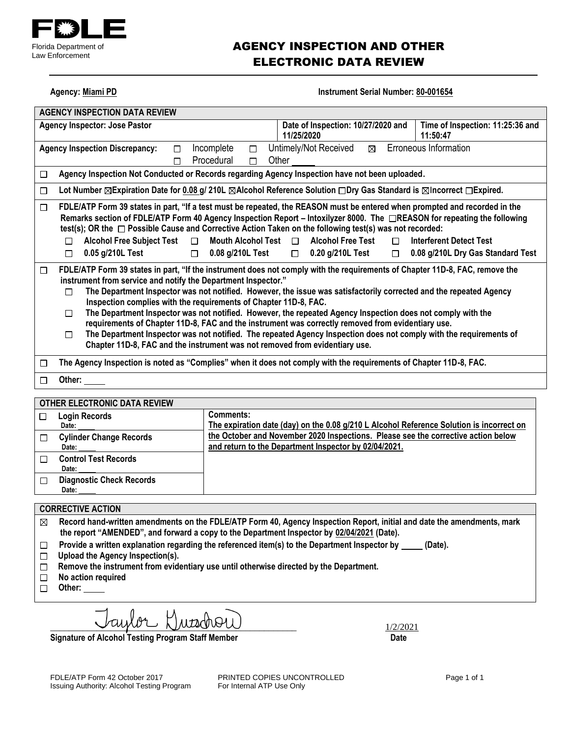

### AGENCY INSPECTION AND OTHER ELECTRONIC DATA REVIEW

| Agency. Midilli PD                                                                                                                                                                                                                                                                                                                                                                                                                                                                                                                                                                                                                                                                                                                                                                                                                            | <b>INSUMMENT SENAL NUMBER : 00-00 1004</b>                                                                         |  |  |  |  |
|-----------------------------------------------------------------------------------------------------------------------------------------------------------------------------------------------------------------------------------------------------------------------------------------------------------------------------------------------------------------------------------------------------------------------------------------------------------------------------------------------------------------------------------------------------------------------------------------------------------------------------------------------------------------------------------------------------------------------------------------------------------------------------------------------------------------------------------------------|--------------------------------------------------------------------------------------------------------------------|--|--|--|--|
| <b>AGENCY INSPECTION DATA REVIEW</b>                                                                                                                                                                                                                                                                                                                                                                                                                                                                                                                                                                                                                                                                                                                                                                                                          |                                                                                                                    |  |  |  |  |
| Date of Inspection: 10/27/2020 and<br>Time of Inspection: 11:25:36 and<br><b>Agency Inspector: Jose Pastor</b><br>11/25/2020<br>11:50:47                                                                                                                                                                                                                                                                                                                                                                                                                                                                                                                                                                                                                                                                                                      |                                                                                                                    |  |  |  |  |
| Incomplete<br><b>Agency Inspection Discrepancy:</b><br>$\Box$<br>П                                                                                                                                                                                                                                                                                                                                                                                                                                                                                                                                                                                                                                                                                                                                                                            | Erroneous Information<br>Untimely/Not Received<br>⊠                                                                |  |  |  |  |
| Procedural<br>П<br>П                                                                                                                                                                                                                                                                                                                                                                                                                                                                                                                                                                                                                                                                                                                                                                                                                          | Other                                                                                                              |  |  |  |  |
| Agency Inspection Not Conducted or Records regarding Agency Inspection have not been uploaded.<br>$\Box$                                                                                                                                                                                                                                                                                                                                                                                                                                                                                                                                                                                                                                                                                                                                      |                                                                                                                    |  |  |  |  |
| $\Box$                                                                                                                                                                                                                                                                                                                                                                                                                                                                                                                                                                                                                                                                                                                                                                                                                                        | Lot Number ⊠Expiration Date for 0.08 g/ 210L ⊠Alcohol Reference Solution □Dry Gas Standard is ⊠Incorrect □Expired. |  |  |  |  |
| FDLE/ATP Form 39 states in part, "If a test must be repeated, the REASON must be entered when prompted and recorded in the<br>$\Box$<br>Remarks section of FDLE/ATP Form 40 Agency Inspection Report – Intoxilyzer 8000. The □REASON for repeating the following<br>test(s); OR the $\Box$ Possible Cause and Corrective Action Taken on the following test(s) was not recorded:                                                                                                                                                                                                                                                                                                                                                                                                                                                              |                                                                                                                    |  |  |  |  |
| Mouth Alcohol Test $\Box$<br><b>Alcohol Free Subject Test</b><br>П<br>П                                                                                                                                                                                                                                                                                                                                                                                                                                                                                                                                                                                                                                                                                                                                                                       | <b>Alcohol Free Test</b><br><b>Interferent Detect Test</b><br>$\Box$                                               |  |  |  |  |
| 0.05 g/210L Test<br>0.08 g/210L Test<br>$\Box$<br>П                                                                                                                                                                                                                                                                                                                                                                                                                                                                                                                                                                                                                                                                                                                                                                                           | 0.20 g/210L Test<br>0.08 g/210L Dry Gas Standard Test<br>$\Box$<br>$\Box$                                          |  |  |  |  |
| FDLE/ATP Form 39 states in part, "If the instrument does not comply with the requirements of Chapter 11D-8, FAC, remove the<br>$\Box$<br>instrument from service and notify the Department Inspector."<br>The Department Inspector was not notified. However, the issue was satisfactorily corrected and the repeated Agency<br>П<br>Inspection complies with the requirements of Chapter 11D-8, FAC.<br>The Department Inspector was not notified. However, the repeated Agency Inspection does not comply with the<br>П<br>requirements of Chapter 11D-8, FAC and the instrument was correctly removed from evidentiary use.<br>The Department Inspector was not notified. The repeated Agency Inspection does not comply with the requirements of<br>$\Box$<br>Chapter 11D-8, FAC and the instrument was not removed from evidentiary use. |                                                                                                                    |  |  |  |  |
| The Agency Inspection is noted as "Complies" when it does not comply with the requirements of Chapter 11D-8, FAC.<br>□                                                                                                                                                                                                                                                                                                                                                                                                                                                                                                                                                                                                                                                                                                                        |                                                                                                                    |  |  |  |  |
| Other:<br>□                                                                                                                                                                                                                                                                                                                                                                                                                                                                                                                                                                                                                                                                                                                                                                                                                                   |                                                                                                                    |  |  |  |  |
| $\sigma$ Tueb eleatraula biti beverli                                                                                                                                                                                                                                                                                                                                                                                                                                                                                                                                                                                                                                                                                                                                                                                                         |                                                                                                                    |  |  |  |  |

**Agency: Miami PD Instrument Serial Number: 80-001654** 

| <b>OTHER ELECTRONIC DATA REVIEW</b>      |                                                                                                                                            |
|------------------------------------------|--------------------------------------------------------------------------------------------------------------------------------------------|
| <b>Login Records</b><br>Date:            | Comments:<br>The expiration date (day) on the 0.08 g/210 L Alcohol Reference Solution is incorrect on                                      |
| <b>Cylinder Change Records</b><br>Date:  | the October and November 2020 Inspections. Please see the corrective action below<br>and return to the Department Inspector by 02/04/2021. |
| <b>Control Test Records</b><br>Date:     |                                                                                                                                            |
| <b>Diagnostic Check Records</b><br>Date: |                                                                                                                                            |

#### **CORRECTIVE ACTION**

**Record hand-written amendments on the FDLE/ATP Form 40, Agency Inspection Report, initial and date the amendments, mark the report "AMENDED", and forward a copy to the Department Inspector by 02/04/2021 (Date).**

- Provide a written explanation regarding the referenced item(s) to the Department Inspector by \_\_\_\_\_ (Date).  $\Box$
- **Upload the Agency Inspection(s).**
- **Remove the instrument from evidentiary use until otherwise directed by the Department.**
- **No action required**
- □ Other:

 $\lim_{1/2/2021}$ 

**Signature of Alcohol Testing Program Staff Member Date** 

FDLE/ATP Form 42 October 2017 **PRINTED COPIES UNCONTROLLED** Page 1 of 1<br>
Issuing Authority: Alcohol Testing Program For Internal ATP Use Only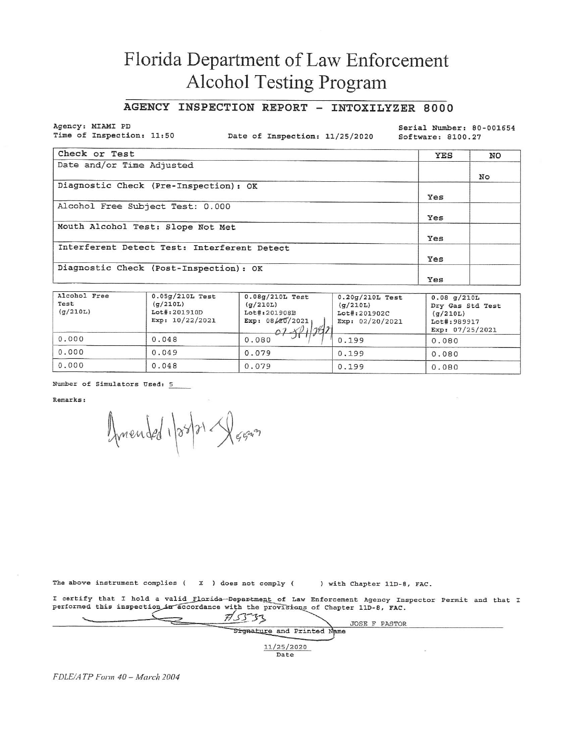# Florida Department of Law Enforcement Alcohol Testing Program

#### AGENCY INSPECTION REPORT - INTOXILYZER 8000

Agency: MIAMI PD Time of Inspection: 11:50

Date of Inspection: 11/25/2020

Serial Number: 80-001654 Software: 8100.27

| Check or Test                               | YES | NO |
|---------------------------------------------|-----|----|
| Date and/or Time Adjusted                   |     |    |
|                                             |     | No |
| Diagnostic Check (Pre-Inspection): OK       |     |    |
|                                             | Yes |    |
| Alcohol Free Subject Test: 0.000            |     |    |
|                                             | Yes |    |
| Mouth Alcohol Test: Slope Not Met           |     |    |
|                                             | Yes |    |
| Interferent Detect Test: Interferent Detect |     |    |
|                                             | Yes |    |
| Diagnostic Check (Post-Inspection): OK      |     |    |
|                                             | Yes |    |

| Alcohol Free<br>Test<br>(q/210L) | $0.05g/210L$ Test<br>(g/210L)<br>Lot#:201910D<br>Exp: $10/22/2021$ | $0.08g/210L$ Test<br>(q/210L)<br>Lot#:201908B<br>Exp: $08/20/2021$<br>$07 - 1991$ | $0.20g/210L$ Test<br>(q/210L)<br>Lot#:201902C<br>Exp: $02/20/2021$ | $0.08$ q/210L<br>Dry Gas Std Test<br>(q/210L)<br>Lot#: 989917<br>Exp: $07/25/2021$ |
|----------------------------------|--------------------------------------------------------------------|-----------------------------------------------------------------------------------|--------------------------------------------------------------------|------------------------------------------------------------------------------------|
| 0.000                            | 0.048                                                              | 0.080                                                                             | 0.199                                                              | 0.080                                                                              |
| 0.000                            | 0.049                                                              | 0.079                                                                             | 0.199                                                              | 0.080                                                                              |
| 0.000                            | 0.048                                                              | 0.079                                                                             | 0.199                                                              | 0.080                                                                              |

Number of Simulators Used: 5

Remarks:

Amended 1/28/21 - Agress

The above instrument complies  $(X)$  does not comply  $(X)$ ) with Chapter 11D-8, FAC.

I certify that I hold a valid Florida-Department of Law Enforcement Agency Inspector Permit and that I performed this inspection in accordance with the provisions of Chapter 11D-8, FAC.

|  |                            | <b>JOSE F PASTOR</b> |  |
|--|----------------------------|----------------------|--|
|  | Signature and Printed Name |                      |  |
|  |                            |                      |  |
|  | 11/25/2020                 |                      |  |
|  | Date                       |                      |  |